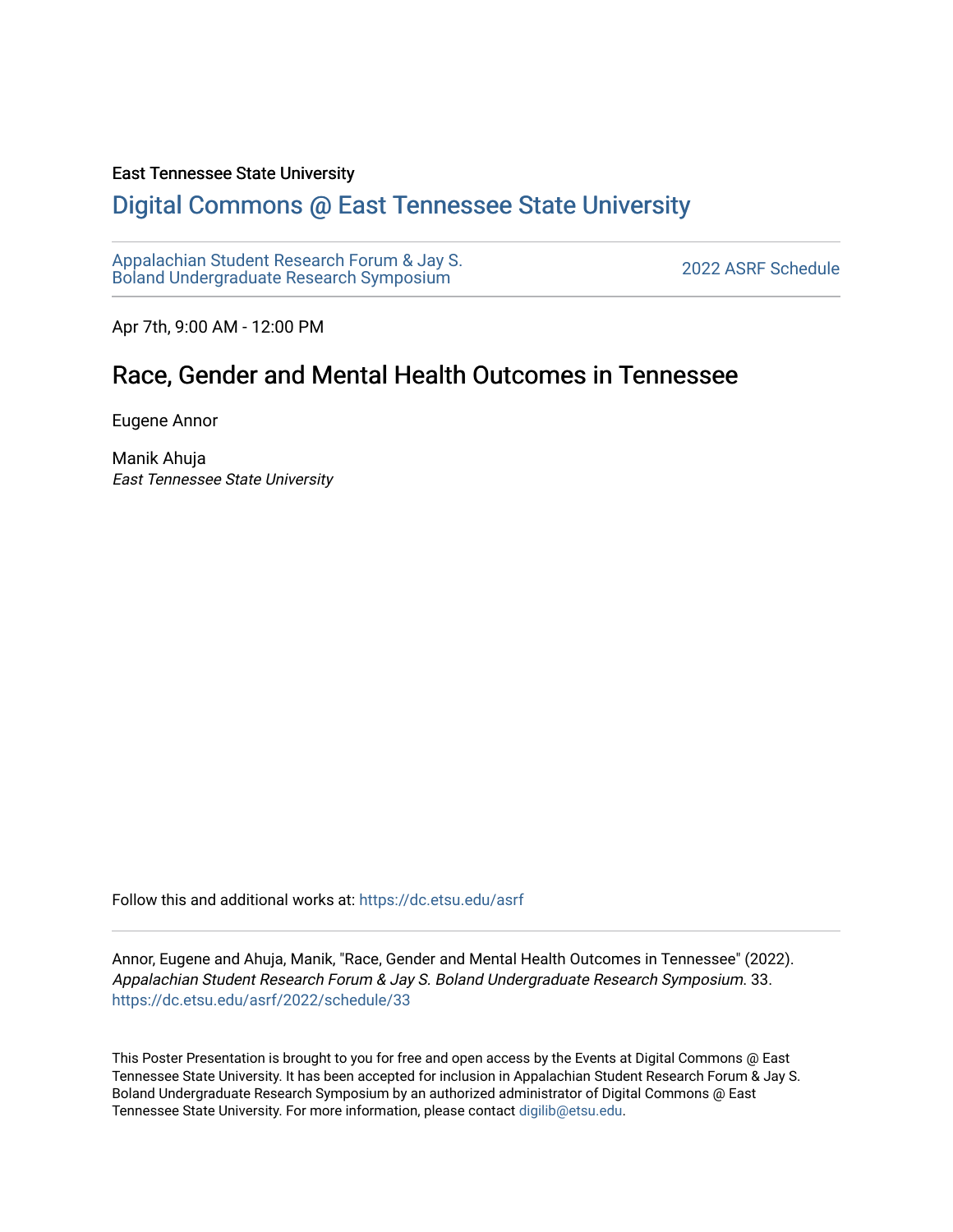#### East Tennessee State University

#### [Digital Commons @ East Tennessee State University](https://dc.etsu.edu/)

[Appalachian Student Research Forum & Jay S.](https://dc.etsu.edu/asrf)  Appalactifalt Student Research Forum & Jay S.<br>Boland Undergraduate Research Symposium

Apr 7th, 9:00 AM - 12:00 PM

#### Race, Gender and Mental Health Outcomes in Tennessee

Eugene Annor

Manik Ahuja East Tennessee State University

Follow this and additional works at: [https://dc.etsu.edu/asrf](https://dc.etsu.edu/asrf?utm_source=dc.etsu.edu%2Fasrf%2F2022%2Fschedule%2F33&utm_medium=PDF&utm_campaign=PDFCoverPages) 

Annor, Eugene and Ahuja, Manik, "Race, Gender and Mental Health Outcomes in Tennessee" (2022). Appalachian Student Research Forum & Jay S. Boland Undergraduate Research Symposium. 33. [https://dc.etsu.edu/asrf/2022/schedule/33](https://dc.etsu.edu/asrf/2022/schedule/33?utm_source=dc.etsu.edu%2Fasrf%2F2022%2Fschedule%2F33&utm_medium=PDF&utm_campaign=PDFCoverPages) 

This Poster Presentation is brought to you for free and open access by the Events at Digital Commons @ East Tennessee State University. It has been accepted for inclusion in Appalachian Student Research Forum & Jay S. Boland Undergraduate Research Symposium by an authorized administrator of Digital Commons @ East Tennessee State University. For more information, please contact [digilib@etsu.edu](mailto:digilib@etsu.edu).